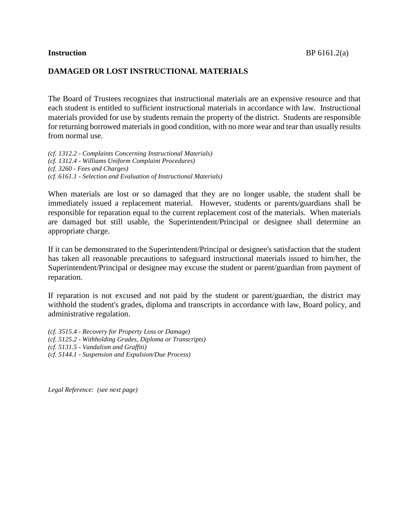## **DAMAGED OR LOST INSTRUCTIONAL MATERIALS**

The Board of Trustees recognizes that instructional materials are an expensive resource and that each student is entitled to sufficient instructional materials in accordance with law. Instructional materials provided for use by students remain the property of the district. Students are responsible for returning borrowed materials in good condition, with no more wear and tear than usually results from normal use.

*(cf. 1312.2 - Complaints Concerning Instructional Materials) (cf. 1312.4 - Williams Uniform Complaint Procedures) (cf. 3260 - Fees and Charges) (cf. 6161.1 - Selection and Evaluation of Instructional Materials)*

When materials are lost or so damaged that they are no longer usable, the student shall be immediately issued a replacement material. However, students or parents/guardians shall be responsible for reparation equal to the current replacement cost of the materials. When materials are damaged but still usable, the Superintendent/Principal or designee shall determine an appropriate charge.

If it can be demonstrated to the Superintendent/Principal or designee's satisfaction that the student has taken all reasonable precautions to safeguard instructional materials issued to him/her, the Superintendent/Principal or designee may excuse the student or parent/guardian from payment of reparation.

If reparation is not excused and not paid by the student or parent/guardian, the district may withhold the student's grades, diploma and transcripts in accordance with law, Board policy, and administrative regulation.

*(cf. 3515.4 - Recovery for Property Loss or Damage) (cf. 5125.2 - Withholding Grades, Diploma or Transcripts) (cf. 5131.5 - Vandalism and Graffiti) (cf. 5144.1 - Suspension and Expulsion/Due Process)*

*Legal Reference: (see next page)*